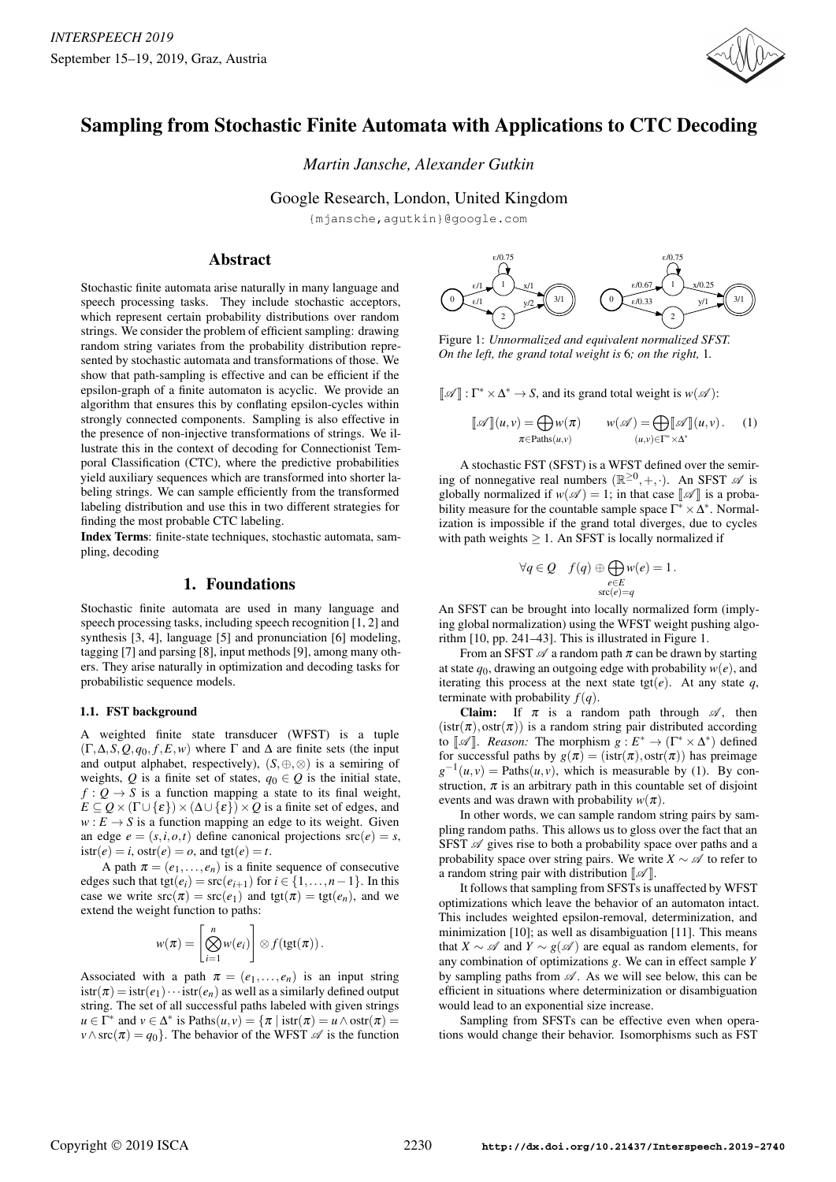

# Sampling from Stochastic Finite Automata with Applications to CTC Decoding

*Martin Jansche, Alexander Gutkin*

Google Research, London, United Kingdom

{mjansche,agutkin}@google.com

# Abstract

Stochastic finite automata arise naturally in many language and speech processing tasks. They include stochastic acceptors, which represent certain probability distributions over random strings. We consider the problem of efficient sampling: drawing random string variates from the probability distribution represented by stochastic automata and transformations of those. We show that path-sampling is effective and can be efficient if the epsilon-graph of a finite automaton is acyclic. We provide an algorithm that ensures this by conflating epsilon-cycles within strongly connected components. Sampling is also effective in the presence of non-injective transformations of strings. We illustrate this in the context of decoding for Connectionist Temporal Classification (CTC), where the predictive probabilities yield auxiliary sequences which are transformed into shorter labeling strings. We can sample efficiently from the transformed labeling distribution and use this in two different strategies for finding the most probable CTC labeling.

Index Terms: finite-state techniques, stochastic automata, sampling, decoding

# 1. Foundations

Stochastic finite automata are used in many language and speech processing tasks, including speech recognition [1, 2] and synthesis [3, 4], language [5] and pronunciation [6] modeling, tagging [7] and parsing [8], input methods [9], among many others. They arise naturally in optimization and decoding tasks for probabilistic sequence models.

#### 1.1. FST background

A weighted finite state transducer (WFST) is a tuple  $(\Gamma, \Delta, S, Q, q_0, f, E, w)$  where  $\Gamma$  and  $\Delta$  are finite sets (the input and output alphabet, respectively),  $(S, \oplus, \otimes)$  is a semiring of weights,  $Q$  is a finite set of states,  $q_0 \in Q$  is the initial state,  $f: Q \rightarrow S$  is a function mapping a state to its final weight,  $E \subseteq Q \times (\Gamma \cup \{\varepsilon\}) \times (\Delta \cup \{\varepsilon\}) \times Q$  is a finite set of edges, and  $w: E \to S$  is a function mapping an edge to its weight. Given an edge  $e = (s, i, o, t)$  define canonical projections  $src(e) = s$ ,  $\text{istr}(e) = i$ ,  $\text{ostr}(e) = o$ , and  $\text{tgt}(e) = t$ .

A path  $\pi = (e_1, \ldots, e_n)$  is a finite sequence of consecutive edges such that  $tgt(e_i) = src(e_{i+1})$  for  $i \in \{1, ..., n-1\}$ . In this case we write  $src(\pi) = src(e_1)$  and  $tgt(\pi) = tgt(e_n)$ , and we extend the weight function to paths:

$$
w(\pi) = \left[\bigotimes_{i=1}^n w(e_i)\right] \otimes f(\text{tgt}(\pi)).
$$

Associated with a path  $\pi = (e_1, \ldots, e_n)$  is an input string  $istr(\pi) = istr(e_1) \cdots istr(e_n)$  as well as a similarly defined output string. The set of all successful paths labeled with given strings  $u \in \Gamma^*$  and  $v \in \Delta^*$  is Paths $(u, v) = \{\pi \mid \text{istr}(\pi) = u \land \text{ostr}(\pi) = 0\}$  $v \wedge \text{src}(\pi) = q_0$ . The behavior of the WFST  $\mathscr A$  is the function



Figure 1: *Unnormalized and equivalent normalized SFST. On the left, the grand total weight is* 6*; on the right,* 1*.*

 $[\![\mathscr{A}]\!] : \Gamma^* \times \Delta^* \to S$ , and its grand total weight is *w*( $\mathscr{A}$ ):

$$
\llbracket \mathscr{A} \rrbracket(u,v) = \bigoplus_{\pi \in \text{Paths}(u,v)} w(\pi) \qquad w(\mathscr{A}) = \bigoplus_{(u,v) \in \Gamma^* \times \Delta^*} \llbracket(u,v). \qquad (1)
$$

A stochastic FST (SFST) is a WFST defined over the semiring of nonnegative real numbers  $(\mathbb{R}^{\geq 0}, +, \cdot)$ . An SFST  $\mathscr A$  is globally normalized if  $w(\mathscr{A}) = 1$ ; in that case  $\llbracket \mathscr{A} \rrbracket$  is a probability measure for the countable sample space Γ *<sup>∗</sup> ×*∆ *∗* . Normalization is impossible if the grand total diverges, due to cycles with path weights *≥* 1. An SFST is locally normalized if

$$
\forall q \in Q \quad f(q) \oplus \bigoplus_{\substack{e \in E \\ \text{src}(e) = q}} w(e) = 1.
$$

An SFST can be brought into locally normalized form (implying global normalization) using the WFST weight pushing algorithm [10, pp. 241–43]. This is illustrated in Figure 1.

From an SFST  $\mathscr A$  a random path  $\pi$  can be drawn by starting at state  $q_0$ , drawing an outgoing edge with probability  $w(e)$ , and iterating this process at the next state tgt $(e)$ . At any state  $q$ , terminate with probability  $f(q)$ .

**Claim:** If  $\pi$  is a random path through  $\mathscr{A}$ , then  $(istr(\pi), ostr(\pi))$  is a random string pair distributed according to  $\llbracket \mathscr{A} \rrbracket$ . *Reason:* The morphism  $g : E^* \to (\Gamma^* \times \Delta^*)$  defined for successful paths by  $g(\pi) = (\text{istr}(\pi), \text{ostr}(\pi))$  has preimage  $g^{-1}(u, v) =$  Paths $(u, v)$ , which is measurable by (1). By construction,  $\pi$  is an arbitrary path in this countable set of disjoint events and was drawn with probability  $w(\pi)$ .

In other words, we can sample random string pairs by sampling random paths. This allows us to gloss over the fact that an SFST  $\mathscr A$  gives rise to both a probability space over paths and a probability space over string pairs. We write  $X \sim \mathcal{A}$  to refer to a random string pair with distribution  $\llbracket \mathcal{A} \rrbracket$ .

It follows that sampling from SFSTs is unaffected by WFST optimizations which leave the behavior of an automaton intact. This includes weighted epsilon-removal, determinization, and minimization [10]; as well as disambiguation [11]. This means that *X*  $\sim \mathcal{A}$  and *Y*  $\sim g(\mathcal{A})$  are equal as random elements, for any combination of optimizations *g*. We can in effect sample *Y* by sampling paths from  $\mathscr A$ . As we will see below, this can be efficient in situations where determinization or disambiguation would lead to an exponential size increase.

Sampling from SFSTs can be effective even when operations would change their behavior. Isomorphisms such as FST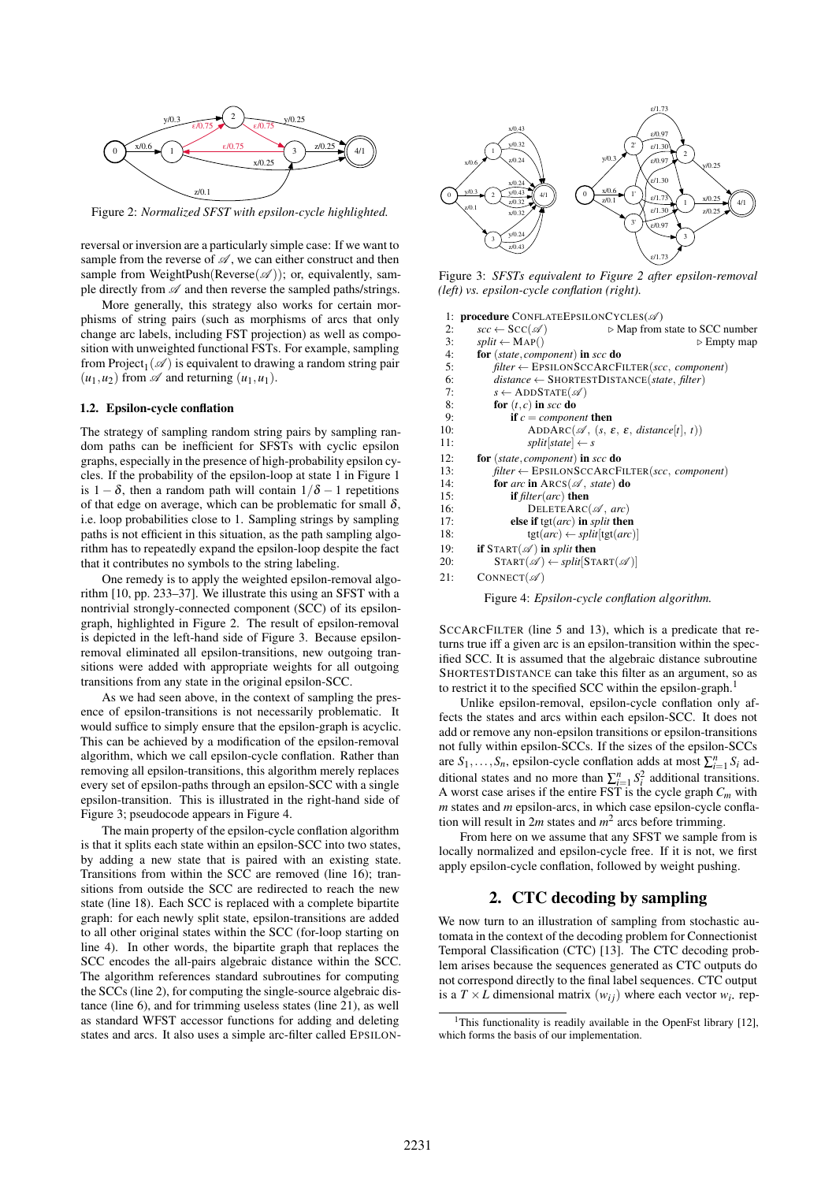

Figure 2: *Normalized SFST with epsilon-cycle highlighted.*

reversal or inversion are a particularly simple case: If we want to sample from the reverse of  $\mathscr A$ , we can either construct and then sample from WeightPush(Reverse( $\mathscr A$ )); or, equivalently, sample directly from *A* and then reverse the sampled paths/strings.

More generally, this strategy also works for certain morphisms of string pairs (such as morphisms of arcs that only change arc labels, including FST projection) as well as composition with unweighted functional FSTs. For example, sampling from  $Project_1(\mathscr{A})$  is equivalent to drawing a random string pair  $(u_1, u_2)$  from  $\mathscr A$  and returning  $(u_1, u_1)$ .

#### 1.2. Epsilon-cycle conflation

The strategy of sampling random string pairs by sampling random paths can be inefficient for SFSTs with cyclic epsilon graphs, especially in the presence of high-probability epsilon cycles. If the probability of the epsilon-loop at state 1 in Figure 1 is 1 *−* δ, then a random path will contain 1*/*δ *−* 1 repetitions of that edge on average, which can be problematic for small  $\delta$ , i.e. loop probabilities close to 1. Sampling strings by sampling paths is not efficient in this situation, as the path sampling algorithm has to repeatedly expand the epsilon-loop despite the fact that it contributes no symbols to the string labeling.

One remedy is to apply the weighted epsilon-removal algorithm [10, pp. 233–37]. We illustrate this using an SFST with a nontrivial strongly-connected component (SCC) of its epsilongraph, highlighted in Figure 2. The result of epsilon-removal is depicted in the left-hand side of Figure 3. Because epsilonremoval eliminated all epsilon-transitions, new outgoing transitions were added with appropriate weights for all outgoing transitions from any state in the original epsilon-SCC.

As we had seen above, in the context of sampling the presence of epsilon-transitions is not necessarily problematic. It would suffice to simply ensure that the epsilon-graph is acyclic. This can be achieved by a modification of the epsilon-removal algorithm, which we call epsilon-cycle conflation. Rather than removing all epsilon-transitions, this algorithm merely replaces every set of epsilon-paths through an epsilon-SCC with a single epsilon-transition. This is illustrated in the right-hand side of Figure 3; pseudocode appears in Figure 4.

The main property of the epsilon-cycle conflation algorithm is that it splits each state within an epsilon-SCC into two states, by adding a new state that is paired with an existing state. Transitions from within the SCC are removed (line 16); transitions from outside the SCC are redirected to reach the new state (line 18). Each SCC is replaced with a complete bipartite graph: for each newly split state, epsilon-transitions are added to all other original states within the SCC (for-loop starting on line 4). In other words, the bipartite graph that replaces the SCC encodes the all-pairs algebraic distance within the SCC. The algorithm references standard subroutines for computing the SCCs (line 2), for computing the single-source algebraic distance (line 6), and for trimming useless states (line 21), as well as standard WFST accessor functions for adding and deleting states and arcs. It also uses a simple arc-filter called EPSILON-



Figure 3: *SFSTs equivalent to Figure 2 after epsilon-removal (left) vs. epsilon-cycle conflation (right).*

| 1:  | <b>procedure</b> CONFLATEEPSILONCYCLES( $\mathscr{A}$ )                                              |
|-----|------------------------------------------------------------------------------------------------------|
| 2:  | $\mathit{scc} \leftarrow \mathit{Scc}(\mathscr{A})$<br>$\triangleright$ Map from state to SCC number |
| 3:  | $split \leftarrow MAP()$<br>$\triangleright$ Empty map                                               |
| 4:  | for (state, component) in scc do                                                                     |
| 5:  | $filter \leftarrow EPSILONSCCARCFILTER(sec, component)$                                              |
| 6:  | $distance \leftarrow$ SHORTESTDISTANCE(state, filter)                                                |
| 7:  | $s \leftarrow$ ADDSTATE( $\mathscr{A}$ )                                                             |
| 8:  | for $(t, c)$ in scc do                                                                               |
| 9:  | <b>if</b> $c = component$ then                                                                       |
| 10: | ADDARC( $\mathscr{A}$ , $(s, \varepsilon, \varepsilon,$ distance[t], t))                             |
| 11: | $split[state] \leftarrow s$                                                                          |
| 12: | for (state, component) in scc do                                                                     |
| 13: | $filter \leftarrow EPSILONSCCARCFILTER(scc, component)$                                              |
| 14: | for arc in $\text{ARCS}(\mathscr{A}, \text{state})$ do                                               |
| 15: | if $filter(ar)$ then                                                                                 |
| 16: | DELETEARC( $\mathscr A$ , arc)                                                                       |
| 17: | else if $tgt(arc)$ in <i>split</i> then                                                              |
| 18: | $tgt(arc) \leftarrow split[tgt(arc)]$                                                                |
| 19: | if $STAT(\mathscr{A})$ in <i>split</i> then                                                          |
| 20: | $START(\mathscr{A}) \leftarrow split[STATE(\mathscr{A})]$                                            |
| 21: | $CONFect({\mathscr{A}})$                                                                             |
|     |                                                                                                      |

Figure 4: *Epsilon-cycle conflation algorithm.*

SCCARCFILTER (line 5 and 13), which is a predicate that returns true iff a given arc is an epsilon-transition within the specified SCC. It is assumed that the algebraic distance subroutine SHORTESTDISTANCE can take this filter as an argument, so as to restrict it to the specified SCC within the epsilon-graph.<sup>1</sup>

Unlike epsilon-removal, epsilon-cycle conflation only affects the states and arcs within each epsilon-SCC. It does not add or remove any non-epsilon transitions or epsilon-transitions not fully within epsilon-SCCs. If the sizes of the epsilon-SCCs are  $S_1, \ldots, S_n$ , epsilon-cycle conflation adds at most  $\sum_{i=1}^n S_i$  additional states and no more than  $\sum_{i=1}^{n} S_i^2$  additional transitions. A worst case arises if the entire FST is the cycle graph *Cm* with *m* states and *m* epsilon-arcs, in which case epsilon-cycle conflation will result in  $2m$  states and  $m^2$  arcs before trimming.

From here on we assume that any SFST we sample from is locally normalized and epsilon-cycle free. If it is not, we first apply epsilon-cycle conflation, followed by weight pushing.

# 2. CTC decoding by sampling

We now turn to an illustration of sampling from stochastic automata in the context of the decoding problem for Connectionist Temporal Classification (CTC) [13]. The CTC decoding problem arises because the sequences generated as CTC outputs do not correspond directly to the final label sequences. CTC output is a  $T \times L$  dimensional matrix  $(w_{ij})$  where each vector  $w_i$ , rep-

<sup>&</sup>lt;sup>1</sup>This functionality is readily available in the OpenFst library [12], which forms the basis of our implementation.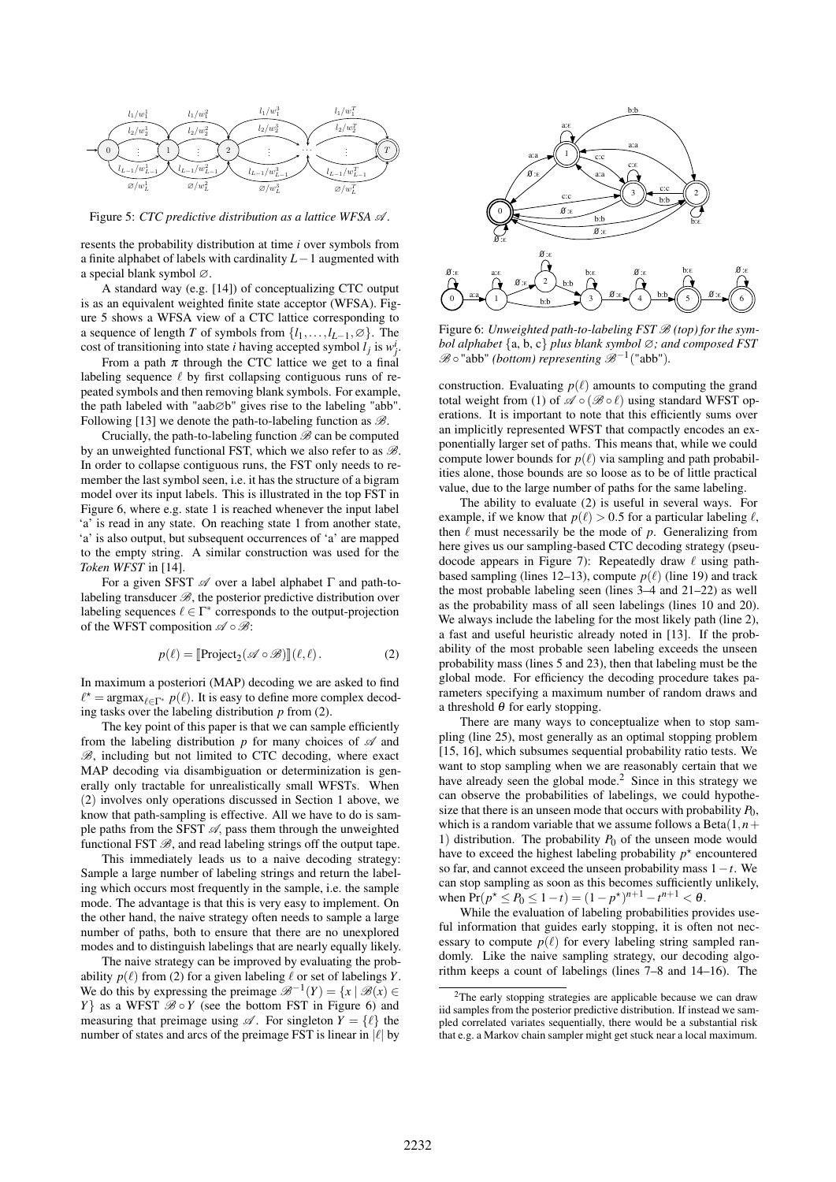

Figure 5: *CTC predictive distribution as a lattice WFSA A .*

resents the probability distribution at time *i* over symbols from a finite alphabet of labels with cardinality *L−*1 augmented with a special blank symbol ∅.

A standard way (e.g. [14]) of conceptualizing CTC output is as an equivalent weighted finite state acceptor (WFSA). Figure 5 shows a WFSA view of a CTC lattice corresponding to a sequence of length *T* of symbols from  $\{l_1, \ldots, l_{L-1}, \emptyset\}$ . The cost of transitioning into state *i* having accepted symbol  $l_j$  is  $w_j^i$ .

From a path  $\pi$  through the CTC lattice we get to a final labeling sequence *ℓ* by first collapsing contiguous runs of repeated symbols and then removing blank symbols. For example, the path labeled with "aab∅b" gives rise to the labeling "abb". Following [13] we denote the path-to-labeling function as *B*.

Crucially, the path-to-labeling function *B* can be computed by an unweighted functional FST, which we also refer to as *B*. In order to collapse contiguous runs, the FST only needs to remember the last symbol seen, i.e. it has the structure of a bigram model over its input labels. This is illustrated in the top FST in Figure 6, where e.g. state 1 is reached whenever the input label 'a' is read in any state. On reaching state 1 from another state, 'a' is also output, but subsequent occurrences of 'a' are mapped to the empty string. A similar construction was used for the *Token WFST* in [14].

For a given SFST *A* over a label alphabet Γ and path-tolabeling transducer *B*, the posterior predictive distribution over labeling sequences  $\ell \in \Gamma^*$  corresponds to the output-projection of the WFST composition *A ◦B*:

$$
p(\ell) = [\text{Project}_2(\mathscr{A} \circ \mathscr{B})] (\ell, \ell).
$$
 (2)

In maximum a posteriori (MAP) decoding we are asked to find  $\ell^* = \arg \max_{\ell \in \Gamma^*} p(\ell)$ . It is easy to define more complex decoding tasks over the labeling distribution *p* from (2).

The key point of this paper is that we can sample efficiently from the labeling distribution *p* for many choices of *A* and *B*, including but not limited to CTC decoding, where exact MAP decoding via disambiguation or determinization is generally only tractable for unrealistically small WFSTs. When (2) involves only operations discussed in Section 1 above, we know that path-sampling is effective. All we have to do is sample paths from the SFST  $\mathcal{A}$ , pass them through the unweighted functional FST  $\mathcal{B}$ , and read labeling strings off the output tape.

This immediately leads us to a naive decoding strategy: Sample a large number of labeling strings and return the labeling which occurs most frequently in the sample, i.e. the sample mode. The advantage is that this is very easy to implement. On the other hand, the naive strategy often needs to sample a large number of paths, both to ensure that there are no unexplored modes and to distinguish labelings that are nearly equally likely.

The naive strategy can be improved by evaluating the probability  $p(\ell)$  from (2) for a given labeling  $\ell$  or set of labelings *Y*. We do this by expressing the preimage  $\mathcal{B}^{-1}(Y) = \{x \mid \mathcal{B}(x) \in \mathcal{B}(\mathcal{A})\}$ *Y*<sup>}</sup> as a WFST  $\mathcal{B} \circ Y$  (see the bottom FST in Figure 6) and measuring that preimage using  $\mathscr A$ . For singleton  $Y = \{ \ell \}$  the number of states and arcs of the preimage FST is linear in *|ℓ|* by



Figure 6: *Unweighted path-to-labeling FST B (top) for the symbol alphabet {*a, b, c*} plus blank symbol* ∅*; and composed FST*  $\mathscr{B} \circ$  "abb" *(bottom) representing*  $\mathscr{B}^{-1}$  ("abb").

construction. Evaluating  $p(\ell)$  amounts to computing the grand total weight from (1) of  $\mathscr{A} \circ (\mathscr{B} \circ \ell)$  using standard WFST operations. It is important to note that this efficiently sums over an implicitly represented WFST that compactly encodes an exponentially larger set of paths. This means that, while we could compute lower bounds for  $p(\ell)$  via sampling and path probabilities alone, those bounds are so loose as to be of little practical value, due to the large number of paths for the same labeling.

The ability to evaluate (2) is useful in several ways. For example, if we know that  $p(\ell) > 0.5$  for a particular labeling  $\ell$ , then *ℓ* must necessarily be the mode of *p*. Generalizing from here gives us our sampling-based CTC decoding strategy (pseudocode appears in Figure 7): Repeatedly draw *ℓ* using pathbased sampling (lines 12–13), compute  $p(\ell)$  (line 19) and track the most probable labeling seen (lines 3–4 and 21–22) as well as the probability mass of all seen labelings (lines 10 and 20). We always include the labeling for the most likely path (line 2), a fast and useful heuristic already noted in [13]. If the probability of the most probable seen labeling exceeds the unseen probability mass (lines 5 and 23), then that labeling must be the global mode. For efficiency the decoding procedure takes parameters specifying a maximum number of random draws and a threshold  $\theta$  for early stopping.

There are many ways to conceptualize when to stop sampling (line 25), most generally as an optimal stopping problem [15, 16], which subsumes sequential probability ratio tests. We want to stop sampling when we are reasonably certain that we have already seen the global mode.<sup>2</sup> Since in this strategy we can observe the probabilities of labelings, we could hypothesize that there is an unseen mode that occurs with probability  $P_0$ , which is a random variable that we assume follows a Beta $(1, n+1)$ 1) distribution. The probability  $P_0$  of the unseen mode would have to exceed the highest labeling probability  $p^*$  encountered so far, and cannot exceed the unseen probability mass 1*−t*. We can stop sampling as soon as this becomes sufficiently unlikely, when  $Pr(p^* \le P_0 \le 1 - t) = (1 - p^*)^{n+1} - t^{n+1} < \theta$ .

While the evaluation of labeling probabilities provides useful information that guides early stopping, it is often not necessary to compute  $p(\ell)$  for every labeling string sampled randomly. Like the naive sampling strategy, our decoding algorithm keeps a count of labelings (lines 7–8 and 14–16). The

<sup>2</sup>The early stopping strategies are applicable because we can draw iid samples from the posterior predictive distribution. If instead we sampled correlated variates sequentially, there would be a substantial risk that e.g. a Markov chain sampler might get stuck near a local maximum.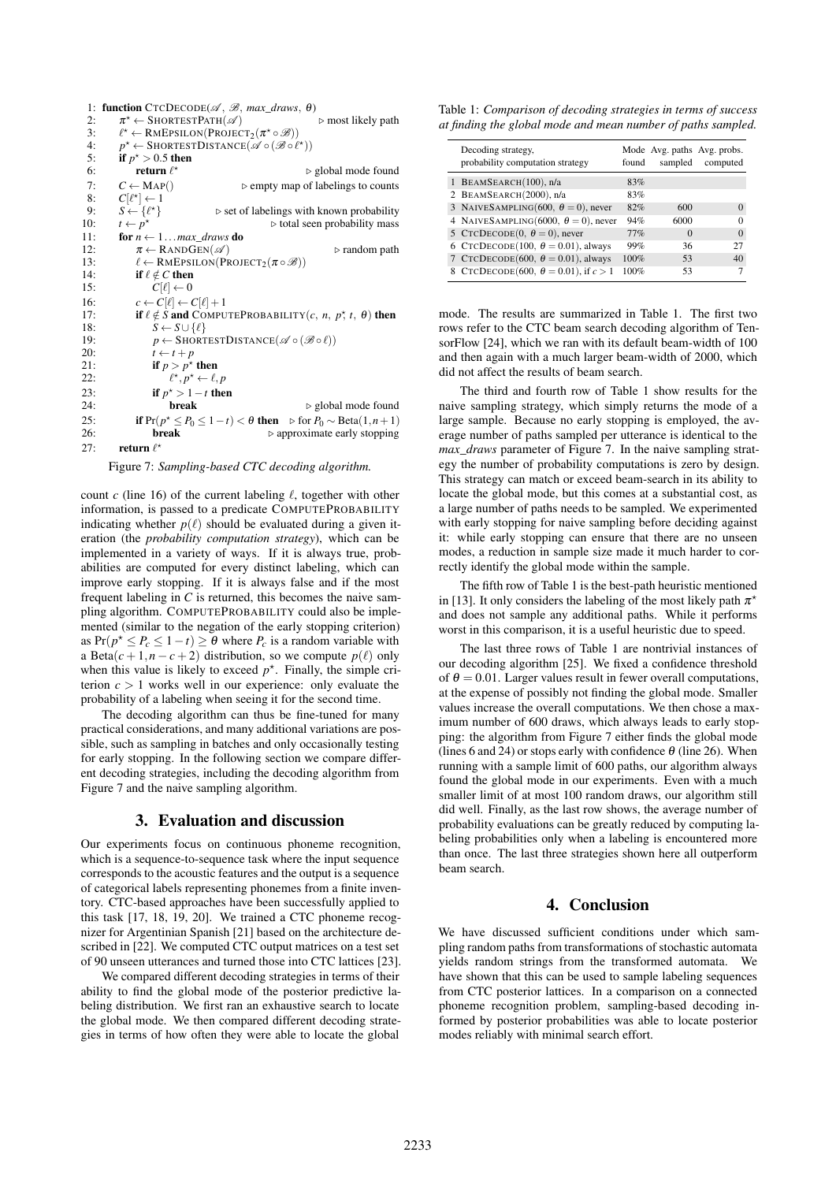1: **function**  $\text{CTCDECODE}(\mathcal{A}, \mathcal{B}, \text{max\_draws}, \theta)$ <br>2.  $\pi^* \leftarrow \text{SHORTESTPart}(\mathcal{A})$ 2:  $\pi^* \leftarrow \text{SHORTESTPATH}(\mathscr{A})$   $\triangleright$  most likely path 3: *ℓ <sup>⋆</sup> ←* RMEPSILON(PROJECT2(<sup>π</sup> *<sup>⋆</sup> ◦B*)) 4:  $p^* \leftarrow \text{SHORTESTDISTANCE}(\mathscr{A} \circ (\mathscr{B} \circ \ell^*) )$ 5: if  $p^* > 0.5$  then 6: return *ℓ <sup>⋆</sup> ▷* global mode found 7:  $C \leftarrow \text{MAP}()$  ⊳ empty map of labelings to counts 8:  $C[\ell^*] \leftarrow 1$ 8:  $C[\ell^{\star}] \leftarrow 1$ 9:  $S \leftarrow {\ell^*}$ <br>10:  $t \leftarrow p^*$ *<sup>⋆</sup>} ▷* set of labelings with known probability 10:  $t \leftarrow p^3$ <br>11: **for**  $n \leftarrow$ *<sup>⋆</sup> ▷* total seen probability mass 11: **for**  $n \leftarrow 1...max\_draws$  **do**<br>12:  $\pi \leftarrow \text{RANDGEN}(\mathcal{A})$  $\pi \leftarrow \text{RANDGEN}(\mathcal{A})$   $\triangleright$  random path 13:  $\ell \leftarrow \text{RMEPSILON}(\text{PROJECT}_2(\pi \circ \mathscr{B}))$ <br>14: **if**  $\ell \notin C$  then 14: **if**  $\ell \notin C$  **then**<br>15:  $C[\ell] \leftarrow 0$  $C[\ell] \leftarrow 0$ 16:  $c \leftarrow C[\ell] \leftarrow C[\ell] + 1$ <br>17: **if**  $\ell \neq S$  and COMPU 17: **if**  $\ell \notin \overline{S}$  and COMPUTEPROBABILITY(*c, n, p<sup>\*</sup>, t, θ*) then 18:  $S \leftarrow S \cup \{\ell\}$ 19:  $p \leftarrow \text{SHORTESTDISTANCE}(\mathscr{A} \circ (\mathscr{B} \circ \ell))$ <br>20:  $t \leftarrow t + p$ 20:  $t \leftarrow t + p$ <br>21: **if**  $p > p^*$ 21: if  $p > p^*$  then 22: *ℓ*  $\star$ ,  $p^* \leftarrow \ell, p$ 23: **if**  $p^* > 1 - t$  then 24: break *▷* global mode found 25: if  $Pr(p^* \leq P_0 \leq 1 - t) < \theta$  then  $\triangleright$  for  $P_0 \sim \text{Beta}(1, n + 1)$ 26: break *▷* approximate early stopping 27: return *ℓ ⋆*

Figure 7: *Sampling-based CTC decoding algorithm.*

count *c* (line 16) of the current labeling *ℓ*, together with other information, is passed to a predicate COMPUTEPROBABILITY indicating whether  $p(\ell)$  should be evaluated during a given iteration (the *probability computation strategy*), which can be implemented in a variety of ways. If it is always true, probabilities are computed for every distinct labeling, which can improve early stopping. If it is always false and if the most frequent labeling in *C* is returned, this becomes the naive sampling algorithm. COMPUTEPROBABILITY could also be implemented (similar to the negation of the early stopping criterion) as  $Pr(p^* \leq P_c \leq 1 - t) \geq \theta$  where  $P_c$  is a random variable with a Beta( $c + 1, n - c + 2$ ) distribution, so we compute  $p(\ell)$  only when this value is likely to exceed  $p^*$ . Finally, the simple criterion  $c > 1$  works well in our experience: only evaluate the probability of a labeling when seeing it for the second time.

The decoding algorithm can thus be fine-tuned for many practical considerations, and many additional variations are possible, such as sampling in batches and only occasionally testing for early stopping. In the following section we compare different decoding strategies, including the decoding algorithm from Figure 7 and the naive sampling algorithm.

### 3. Evaluation and discussion

Our experiments focus on continuous phoneme recognition, which is a sequence-to-sequence task where the input sequence corresponds to the acoustic features and the output is a sequence of categorical labels representing phonemes from a finite inventory. CTC-based approaches have been successfully applied to this task [17, 18, 19, 20]. We trained a CTC phoneme recognizer for Argentinian Spanish [21] based on the architecture described in [22]. We computed CTC output matrices on a test set of 90 unseen utterances and turned those into CTC lattices [23].

We compared different decoding strategies in terms of their ability to find the global mode of the posterior predictive labeling distribution. We first ran an exhaustive search to locate the global mode. We then compared different decoding strategies in terms of how often they were able to locate the global

Table 1: *Comparison of decoding strategies in terms of success at finding the global mode and mean number of paths sampled.*

| Decoding strategy,<br>probability computation strategy | found | sampled  | Mode Avg. paths Avg. probs.<br>computed |
|--------------------------------------------------------|-------|----------|-----------------------------------------|
| 1 BEAMSEARCH $(100)$ , n/a                             | 83%   |          |                                         |
| 2 BEAMSEARCH(2000), n/a                                | 83%   |          |                                         |
| 3 NAIVESAMPLING(600, $\theta = 0$ ), never             | 82%   | 600      | $\Omega$                                |
| 4 NAIVESAMPLING(6000, $\theta = 0$ ), never            | 94%   | 6000     | 0                                       |
| 5 CTCDECODE(0, $\theta = 0$ ), never                   | 77%   | $\Omega$ | $\Omega$                                |
| 6 CTCDECODE(100, $\theta = 0.01$ ), always             | 99%   | 36       | 27                                      |
| 7 CTCDECODE(600, $\theta = 0.01$ ), always             | 100%  | 53       | 40                                      |
| 8 CTCDECODE(600, $\theta = 0.01$ ), if $c > 1$         | 100%  | 53       |                                         |

mode. The results are summarized in Table 1. The first two rows refer to the CTC beam search decoding algorithm of TensorFlow [24], which we ran with its default beam-width of 100 and then again with a much larger beam-width of 2000, which did not affect the results of beam search.

The third and fourth row of Table 1 show results for the naive sampling strategy, which simply returns the mode of a large sample. Because no early stopping is employed, the average number of paths sampled per utterance is identical to the *max*\_*draws* parameter of Figure 7. In the naive sampling strategy the number of probability computations is zero by design. This strategy can match or exceed beam-search in its ability to locate the global mode, but this comes at a substantial cost, as a large number of paths needs to be sampled. We experimented with early stopping for naive sampling before deciding against it: while early stopping can ensure that there are no unseen modes, a reduction in sample size made it much harder to correctly identify the global mode within the sample.

The fifth row of Table 1 is the best-path heuristic mentioned in [13]. It only considers the labeling of the most likely path  $\pi^*$ and does not sample any additional paths. While it performs worst in this comparison, it is a useful heuristic due to speed.

The last three rows of Table 1 are nontrivial instances of our decoding algorithm [25]. We fixed a confidence threshold of  $\theta = 0.01$ . Larger values result in fewer overall computations, at the expense of possibly not finding the global mode. Smaller values increase the overall computations. We then chose a maximum number of 600 draws, which always leads to early stopping: the algorithm from Figure 7 either finds the global mode (lines 6 and 24) or stops early with confidence  $\theta$  (line 26). When running with a sample limit of 600 paths, our algorithm always found the global mode in our experiments. Even with a much smaller limit of at most 100 random draws, our algorithm still did well. Finally, as the last row shows, the average number of probability evaluations can be greatly reduced by computing labeling probabilities only when a labeling is encountered more than once. The last three strategies shown here all outperform beam search.

### 4. Conclusion

We have discussed sufficient conditions under which sampling random paths from transformations of stochastic automata yields random strings from the transformed automata. We have shown that this can be used to sample labeling sequences from CTC posterior lattices. In a comparison on a connected phoneme recognition problem, sampling-based decoding informed by posterior probabilities was able to locate posterior modes reliably with minimal search effort.